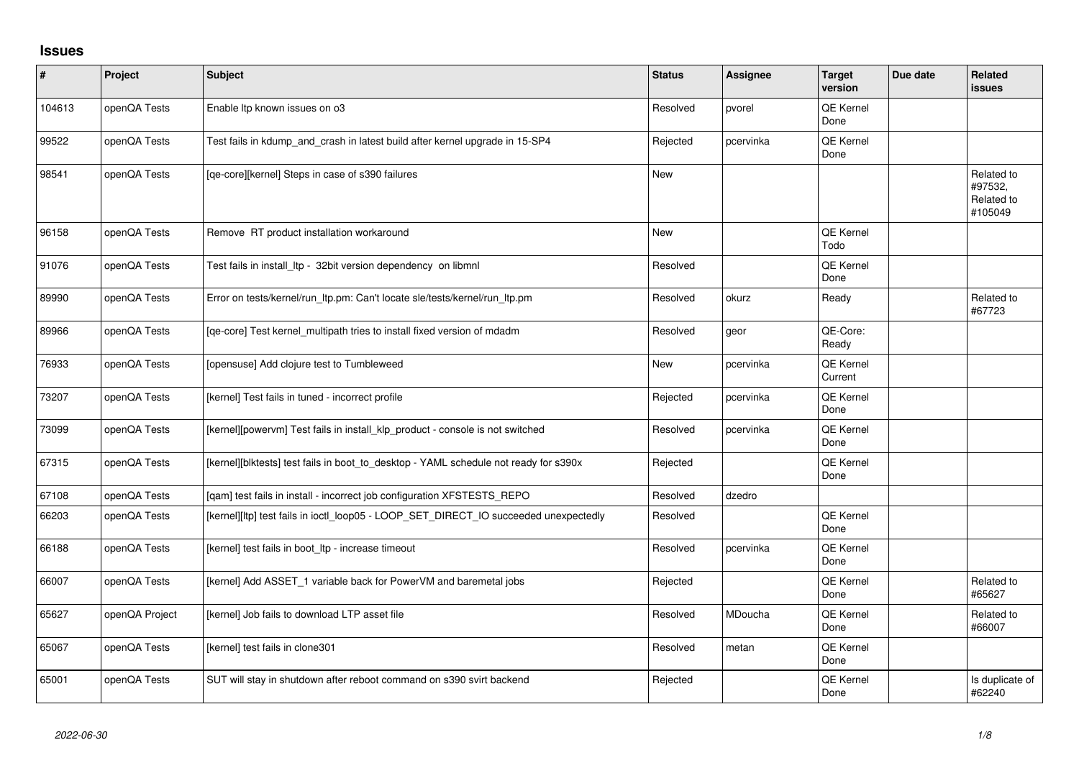## **Issues**

| $\sharp$ | Project        | <b>Subject</b>                                                                       | <b>Status</b> | <b>Assignee</b> | <b>Target</b><br>version    | Due date | <b>Related</b><br><b>issues</b>                |
|----------|----------------|--------------------------------------------------------------------------------------|---------------|-----------------|-----------------------------|----------|------------------------------------------------|
| 104613   | openQA Tests   | Enable Itp known issues on o3                                                        | Resolved      | pvorel          | QE Kernel<br>Done           |          |                                                |
| 99522    | openQA Tests   | Test fails in kdump_and_crash in latest build after kernel upgrade in 15-SP4         | Rejected      | pcervinka       | QE Kernel<br>Done           |          |                                                |
| 98541    | openQA Tests   | [qe-core][kernel] Steps in case of s390 failures                                     | <b>New</b>    |                 |                             |          | Related to<br>#97532,<br>Related to<br>#105049 |
| 96158    | openQA Tests   | Remove RT product installation workaround                                            | <b>New</b>    |                 | QE Kernel<br>Todo           |          |                                                |
| 91076    | openQA Tests   | Test fails in install_ltp - 32bit version dependency on libmnl                       | Resolved      |                 | <b>QE Kernel</b><br>Done    |          |                                                |
| 89990    | openQA Tests   | Error on tests/kernel/run_ltp.pm: Can't locate sle/tests/kernel/run_ltp.pm           | Resolved      | okurz           | Ready                       |          | Related to<br>#67723                           |
| 89966    | openQA Tests   | [qe-core] Test kernel_multipath tries to install fixed version of mdadm              | Resolved      | geor            | QE-Core:<br>Ready           |          |                                                |
| 76933    | openQA Tests   | [opensuse] Add clojure test to Tumbleweed                                            | <b>New</b>    | pcervinka       | <b>QE Kernel</b><br>Current |          |                                                |
| 73207    | openQA Tests   | [kernel] Test fails in tuned - incorrect profile                                     | Rejected      | pcervinka       | QE Kernel<br>Done           |          |                                                |
| 73099    | openQA Tests   | [kernel][powervm] Test fails in install_klp_product - console is not switched        | Resolved      | pcervinka       | QE Kernel<br>Done           |          |                                                |
| 67315    | openQA Tests   | [kernel][blktests] test fails in boot_to_desktop - YAML schedule not ready for s390x | Rejected      |                 | QE Kernel<br>Done           |          |                                                |
| 67108    | openQA Tests   | [qam] test fails in install - incorrect job configuration XFSTESTS_REPO              | Resolved      | dzedro          |                             |          |                                                |
| 66203    | openQA Tests   | [kernel][ltp] test fails in ioctl_loop05 - LOOP_SET_DIRECT_IO succeeded unexpectedly | Resolved      |                 | QE Kernel<br>Done           |          |                                                |
| 66188    | openQA Tests   | [kernel] test fails in boot_ltp - increase timeout                                   | Resolved      | pcervinka       | QE Kernel<br>Done           |          |                                                |
| 66007    | openQA Tests   | [kernel] Add ASSET_1 variable back for PowerVM and baremetal jobs                    | Rejected      |                 | QE Kernel<br>Done           |          | Related to<br>#65627                           |
| 65627    | openQA Project | [kernel] Job fails to download LTP asset file                                        | Resolved      | MDoucha         | QE Kernel<br>Done           |          | Related to<br>#66007                           |
| 65067    | openQA Tests   | [kernel] test fails in clone301                                                      | Resolved      | metan           | QE Kernel<br>Done           |          |                                                |
| 65001    | openQA Tests   | SUT will stay in shutdown after reboot command on s390 svirt backend                 | Rejected      |                 | <b>QE Kernel</b><br>Done    |          | Is duplicate of<br>#62240                      |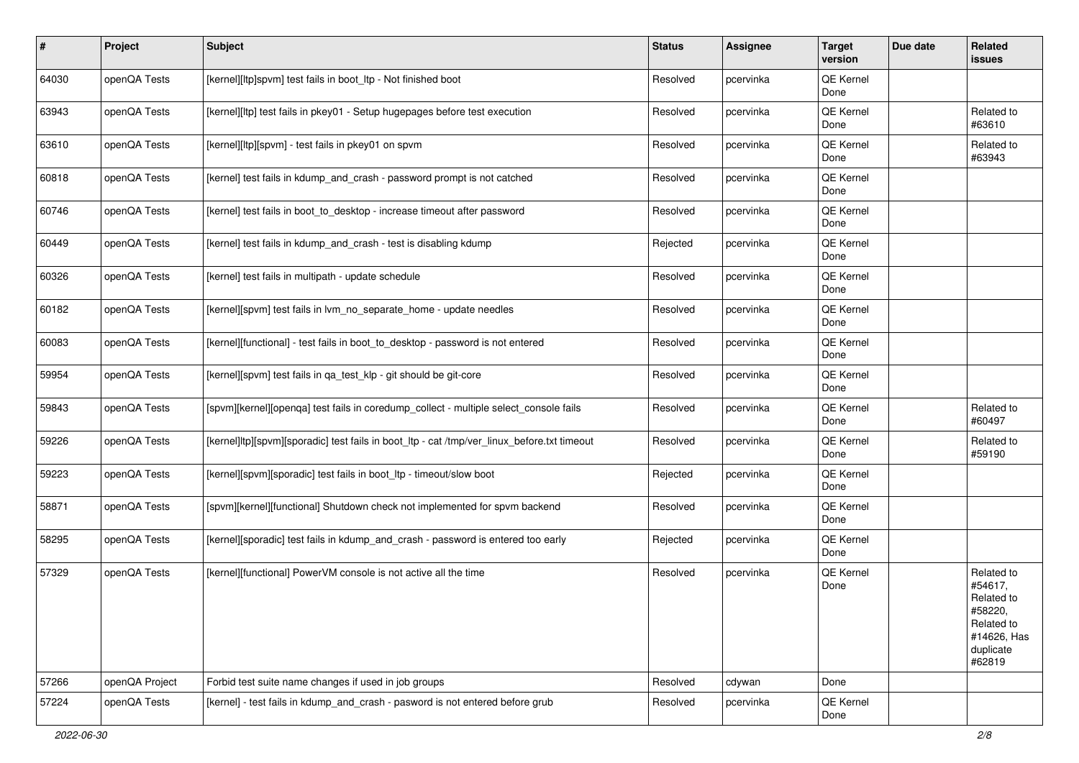| #     | Project        | <b>Subject</b>                                                                              | <b>Status</b> | Assignee  | <b>Target</b><br>version | Due date | Related<br>issues                                                                                  |
|-------|----------------|---------------------------------------------------------------------------------------------|---------------|-----------|--------------------------|----------|----------------------------------------------------------------------------------------------------|
| 64030 | openQA Tests   | [kernel][ltp]spvm] test fails in boot_ltp - Not finished boot                               | Resolved      | pcervinka | QE Kernel<br>Done        |          |                                                                                                    |
| 63943 | openQA Tests   | [kernel][ltp] test fails in pkey01 - Setup hugepages before test execution                  | Resolved      | pcervinka | QE Kernel<br>Done        |          | Related to<br>#63610                                                                               |
| 63610 | openQA Tests   | [kernel][ltp][spvm] - test fails in pkey01 on spvm                                          | Resolved      | pcervinka | QE Kernel<br>Done        |          | Related to<br>#63943                                                                               |
| 60818 | openQA Tests   | [kernel] test fails in kdump_and_crash - password prompt is not catched                     | Resolved      | pcervinka | QE Kernel<br>Done        |          |                                                                                                    |
| 60746 | openQA Tests   | [kernel] test fails in boot to desktop - increase timeout after password                    | Resolved      | pcervinka | QE Kernel<br>Done        |          |                                                                                                    |
| 60449 | openQA Tests   | [kernel] test fails in kdump_and_crash - test is disabling kdump                            | Rejected      | pcervinka | QE Kernel<br>Done        |          |                                                                                                    |
| 60326 | openQA Tests   | [kernel] test fails in multipath - update schedule                                          | Resolved      | pcervinka | QE Kernel<br>Done        |          |                                                                                                    |
| 60182 | openQA Tests   | [kernel][spvm] test fails in lvm_no_separate_home - update needles                          | Resolved      | pcervinka | QE Kernel<br>Done        |          |                                                                                                    |
| 60083 | openQA Tests   | [kernel][functional] - test fails in boot_to_desktop - password is not entered              | Resolved      | pcervinka | QE Kernel<br>Done        |          |                                                                                                    |
| 59954 | openQA Tests   | [kernel][spvm] test fails in qa_test_klp - git should be git-core                           | Resolved      | pcervinka | QE Kernel<br>Done        |          |                                                                                                    |
| 59843 | openQA Tests   | [spvm][kernel][openqa] test fails in coredump_collect - multiple select_console fails       | Resolved      | pcervinka | QE Kernel<br>Done        |          | Related to<br>#60497                                                                               |
| 59226 | openQA Tests   | [kernel]ltp][spvm][sporadic] test fails in boot_ltp - cat /tmp/ver_linux_before.txt timeout | Resolved      | pcervinka | QE Kernel<br>Done        |          | Related to<br>#59190                                                                               |
| 59223 | openQA Tests   | [kernel][spvm][sporadic] test fails in boot_ltp - timeout/slow boot                         | Rejected      | pcervinka | QE Kernel<br>Done        |          |                                                                                                    |
| 58871 | openQA Tests   | [spvm][kernel][functional] Shutdown check not implemented for spvm backend                  | Resolved      | pcervinka | QE Kernel<br>Done        |          |                                                                                                    |
| 58295 | openQA Tests   | [kernel][sporadic] test fails in kdump_and_crash - password is entered too early            | Rejected      | pcervinka | QE Kernel<br>Done        |          |                                                                                                    |
| 57329 | openQA Tests   | [kernel][functional] PowerVM console is not active all the time                             | Resolved      | pcervinka | QE Kernel<br>Done        |          | Related to<br>#54617.<br>Related to<br>#58220,<br>Related to<br>#14626, Has<br>duplicate<br>#62819 |
| 57266 | openQA Project | Forbid test suite name changes if used in job groups                                        | Resolved      | cdywan    | Done                     |          |                                                                                                    |
| 57224 | openQA Tests   | [kernel] - test fails in kdump_and_crash - pasword is not entered before grub               | Resolved      | pcervinka | QE Kernel<br>Done        |          |                                                                                                    |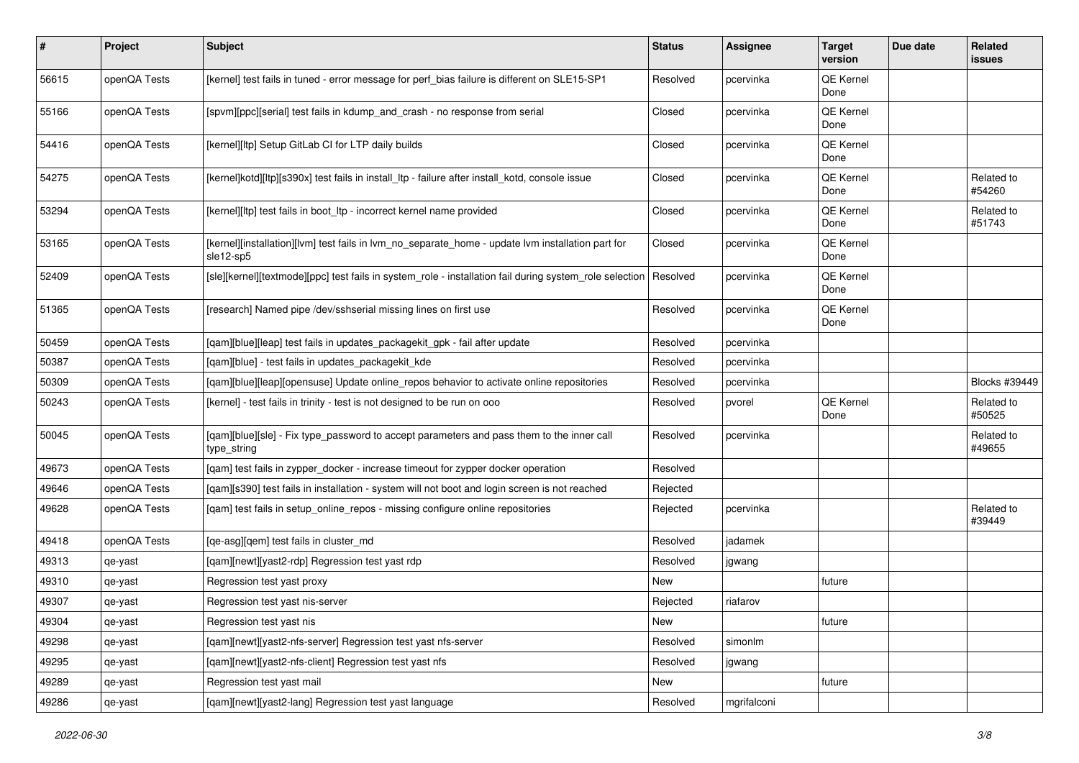| #     | Project      | <b>Subject</b>                                                                                                 | <b>Status</b> | <b>Assignee</b> | <b>Target</b><br>version | Due date | Related<br>issues    |
|-------|--------------|----------------------------------------------------------------------------------------------------------------|---------------|-----------------|--------------------------|----------|----------------------|
| 56615 | openQA Tests | [kernel] test fails in tuned - error message for perf_bias failure is different on SLE15-SP1                   | Resolved      | pcervinka       | QE Kernel<br>Done        |          |                      |
| 55166 | openQA Tests | [spvm][ppc][serial] test fails in kdump_and_crash - no response from serial                                    | Closed        | pcervinka       | QE Kernel<br>Done        |          |                      |
| 54416 | openQA Tests | [kernel][ltp] Setup GitLab CI for LTP daily builds                                                             | Closed        | pcervinka       | QE Kernel<br>Done        |          |                      |
| 54275 | openQA Tests | [kernel]kotd][ltp][s390x] test fails in install_ltp - failure after install_kotd, console issue                | Closed        | pcervinka       | QE Kernel<br>Done        |          | Related to<br>#54260 |
| 53294 | openQA Tests | [kernel][ltp] test fails in boot_ltp - incorrect kernel name provided                                          | Closed        | pcervinka       | QE Kernel<br>Done        |          | Related to<br>#51743 |
| 53165 | openQA Tests | [kernel][installation][lvm] test fails in lvm_no_separate_home - update lvm installation part for<br>sle12-sp5 | Closed        | pcervinka       | QE Kernel<br>Done        |          |                      |
| 52409 | openQA Tests | [sle][kernel][textmode][ppc] test fails in system_role - installation fail during system_role selection        | Resolved      | pcervinka       | QE Kernel<br>Done        |          |                      |
| 51365 | openQA Tests | [research] Named pipe /dev/sshserial missing lines on first use                                                | Resolved      | pcervinka       | QE Kernel<br>Done        |          |                      |
| 50459 | openQA Tests | [qam][blue][leap] test fails in updates_packagekit_gpk - fail after update                                     | Resolved      | pcervinka       |                          |          |                      |
| 50387 | openQA Tests | [gam][blue] - test fails in updates packagekit kde                                                             | Resolved      | pcervinka       |                          |          |                      |
| 50309 | openQA Tests | [qam][blue][leap][opensuse] Update online_repos behavior to activate online repositories                       | Resolved      | pcervinka       |                          |          | Blocks #39449        |
| 50243 | openQA Tests | [kernel] - test fails in trinity - test is not designed to be run on ooo                                       | Resolved      | pvorel          | QE Kernel<br>Done        |          | Related to<br>#50525 |
| 50045 | openQA Tests | [qam][blue][sle] - Fix type_password to accept parameters and pass them to the inner call<br>type_string       | Resolved      | pcervinka       |                          |          | Related to<br>#49655 |
| 49673 | openQA Tests | [qam] test fails in zypper_docker - increase timeout for zypper docker operation                               | Resolved      |                 |                          |          |                      |
| 49646 | openQA Tests | [qam][s390] test fails in installation - system will not boot and login screen is not reached                  | Rejected      |                 |                          |          |                      |
| 49628 | openQA Tests | [qam] test fails in setup_online_repos - missing configure online repositories                                 | Rejected      | pcervinka       |                          |          | Related to<br>#39449 |
| 49418 | openQA Tests | [qe-asg][qem] test fails in cluster_md                                                                         | Resolved      | jadamek         |                          |          |                      |
| 49313 | qe-yast      | [qam][newt][yast2-rdp] Regression test yast rdp                                                                | Resolved      | jgwang          |                          |          |                      |
| 49310 | qe-yast      | Regression test yast proxy                                                                                     | New           |                 | future                   |          |                      |
| 49307 | qe-yast      | Regression test yast nis-server                                                                                | Rejected      | riafarov        |                          |          |                      |
| 49304 | qe-yast      | Regression test yast nis                                                                                       | New           |                 | future                   |          |                      |
| 49298 | qe-yast      | [qam][newt][yast2-nfs-server] Regression test yast nfs-server                                                  | Resolved      | simonlm         |                          |          |                      |
| 49295 | qe-yast      | [gam][newt][yast2-nfs-client] Regression test yast nfs                                                         | Resolved      | jgwang          |                          |          |                      |
| 49289 | qe-yast      | Regression test yast mail                                                                                      | New           |                 | future                   |          |                      |
| 49286 | qe-yast      | [qam][newt][yast2-lang] Regression test yast language                                                          | Resolved      | mgrifalconi     |                          |          |                      |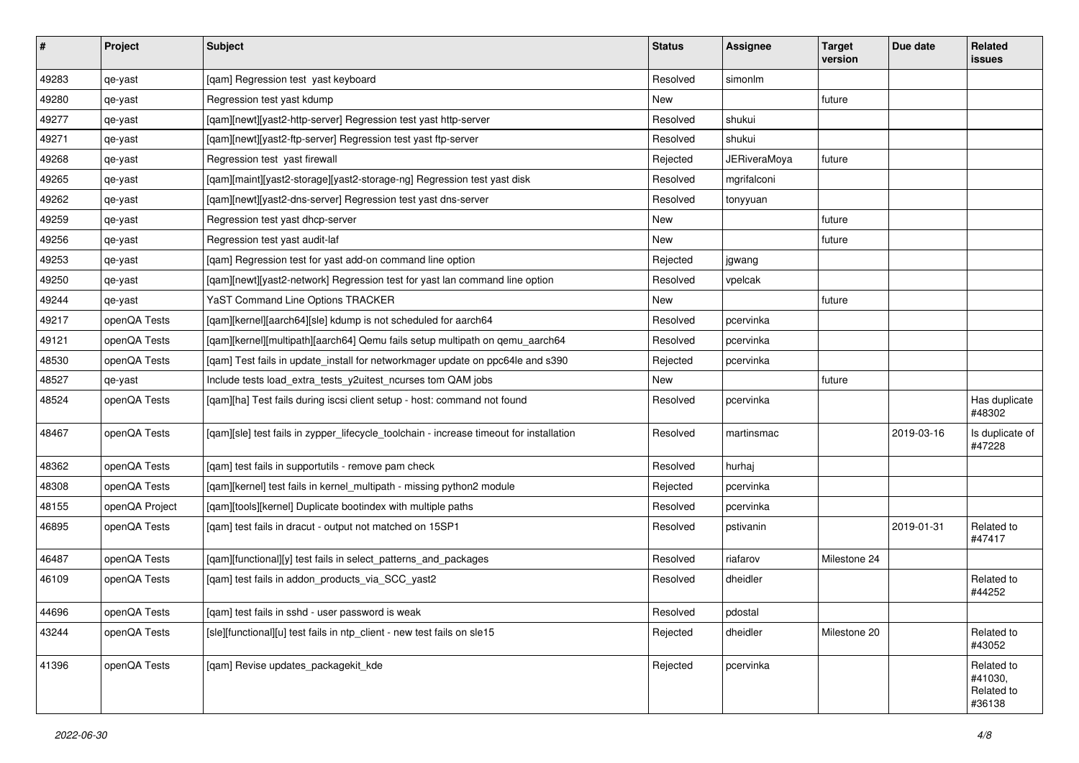| $\vert$ # | Project        | <b>Subject</b>                                                                          | <b>Status</b> | <b>Assignee</b>     | <b>Target</b><br>version | Due date   | <b>Related</b><br><b>issues</b>               |
|-----------|----------------|-----------------------------------------------------------------------------------------|---------------|---------------------|--------------------------|------------|-----------------------------------------------|
| 49283     | qe-yast        | [qam] Regression test yast keyboard                                                     | Resolved      | simonlm             |                          |            |                                               |
| 49280     | qe-yast        | Regression test yast kdump                                                              | New           |                     | future                   |            |                                               |
| 49277     | qe-yast        | [qam][newt][yast2-http-server] Regression test yast http-server                         | Resolved      | shukui              |                          |            |                                               |
| 49271     | qe-yast        | [qam][newt][yast2-ftp-server] Regression test yast ftp-server                           | Resolved      | shukui              |                          |            |                                               |
| 49268     | qe-yast        | Regression test yast firewall                                                           | Rejected      | <b>JERiveraMoya</b> | future                   |            |                                               |
| 49265     | qe-yast        | [qam][maint][yast2-storage][yast2-storage-ng] Regression test yast disk                 | Resolved      | mgrifalconi         |                          |            |                                               |
| 49262     | qe-yast        | [qam][newt][yast2-dns-server] Regression test yast dns-server                           | Resolved      | tonyyuan            |                          |            |                                               |
| 49259     | qe-yast        | Regression test yast dhcp-server                                                        | New           |                     | future                   |            |                                               |
| 49256     | qe-yast        | Regression test yast audit-laf                                                          | New           |                     | future                   |            |                                               |
| 49253     | qe-yast        | [qam] Regression test for yast add-on command line option                               | Rejected      | jgwang              |                          |            |                                               |
| 49250     | qe-yast        | [qam][newt][yast2-network] Regression test for yast lan command line option             | Resolved      | vpelcak             |                          |            |                                               |
| 49244     | qe-yast        | YaST Command Line Options TRACKER                                                       | New           |                     | future                   |            |                                               |
| 49217     | openQA Tests   | [qam][kernel][aarch64][sle] kdump is not scheduled for aarch64                          | Resolved      | pcervinka           |                          |            |                                               |
| 49121     | openQA Tests   | [qam][kernel][multipath][aarch64] Qemu fails setup multipath on qemu_aarch64            | Resolved      | pcervinka           |                          |            |                                               |
| 48530     | openQA Tests   | [qam] Test fails in update_install for networkmager update on ppc64le and s390          | Rejected      | pcervinka           |                          |            |                                               |
| 48527     | qe-yast        | Include tests load_extra_tests_y2uitest_ncurses tom QAM jobs                            | New           |                     | future                   |            |                                               |
| 48524     | openQA Tests   | [qam][ha] Test fails during iscsi client setup - host: command not found                | Resolved      | pcervinka           |                          |            | Has duplicate<br>#48302                       |
| 48467     | openQA Tests   | [qam][sle] test fails in zypper_lifecycle_toolchain - increase timeout for installation | Resolved      | martinsmac          |                          | 2019-03-16 | Is duplicate of<br>#47228                     |
| 48362     | openQA Tests   | [qam] test fails in supportutils - remove pam check                                     | Resolved      | hurhaj              |                          |            |                                               |
| 48308     | openQA Tests   | [qam][kernel] test fails in kernel_multipath - missing python2 module                   | Rejected      | pcervinka           |                          |            |                                               |
| 48155     | openQA Project | [qam][tools][kernel] Duplicate bootindex with multiple paths                            | Resolved      | pcervinka           |                          |            |                                               |
| 46895     | openQA Tests   | [qam] test fails in dracut - output not matched on 15SP1                                | Resolved      | pstivanin           |                          | 2019-01-31 | Related to<br>#47417                          |
| 46487     | openQA Tests   | [qam][functional][y] test fails in select_patterns_and_packages                         | Resolved      | riafarov            | Milestone 24             |            |                                               |
| 46109     | openQA Tests   | [qam] test fails in addon_products_via_SCC_yast2                                        | Resolved      | dheidler            |                          |            | Related to<br>#44252                          |
| 44696     | openQA Tests   | [qam] test fails in sshd - user password is weak                                        | Resolved      | pdostal             |                          |            |                                               |
| 43244     | openQA Tests   | [sle][functional][u] test fails in ntp_client - new test fails on sle15                 | Rejected      | dheidler            | Milestone 20             |            | Related to<br>#43052                          |
| 41396     | openQA Tests   | [qam] Revise updates_packagekit_kde                                                     | Rejected      | pcervinka           |                          |            | Related to<br>#41030,<br>Related to<br>#36138 |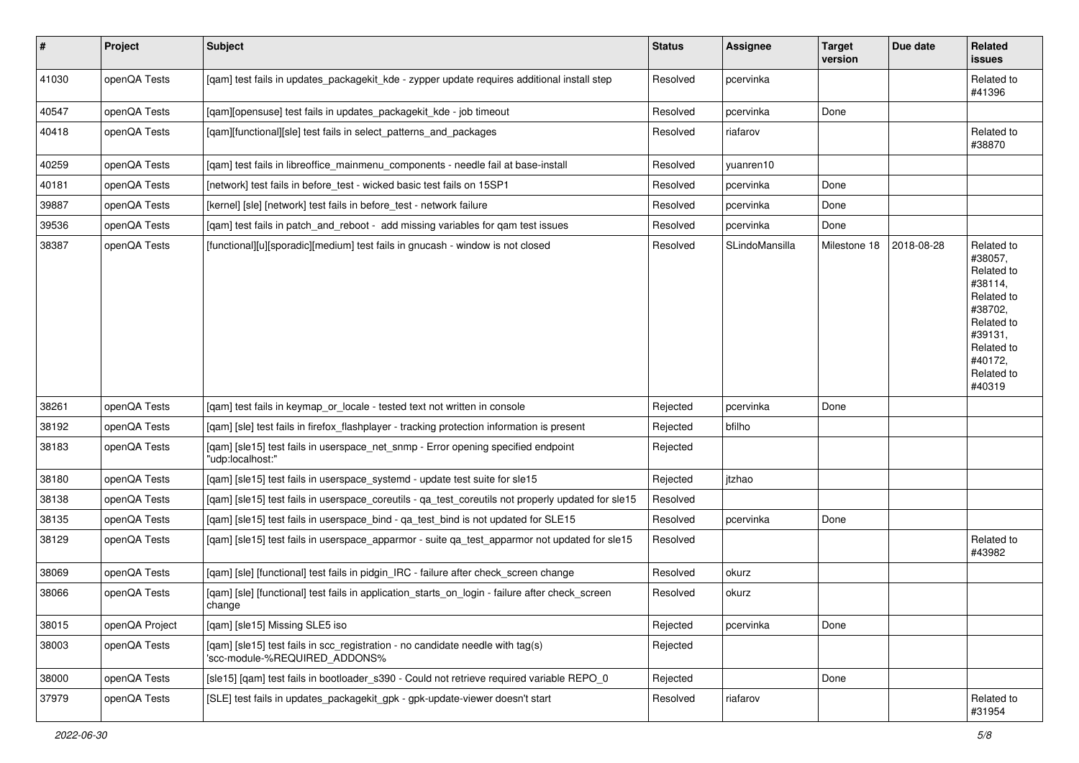| $\vert$ # | Project        | <b>Subject</b>                                                                                                  | <b>Status</b> | <b>Assignee</b> | <b>Target</b><br>version | Due date   | Related<br>issues                                                                                                                                 |
|-----------|----------------|-----------------------------------------------------------------------------------------------------------------|---------------|-----------------|--------------------------|------------|---------------------------------------------------------------------------------------------------------------------------------------------------|
| 41030     | openQA Tests   | [qam] test fails in updates_packagekit_kde - zypper update requires additional install step                     | Resolved      | pcervinka       |                          |            | Related to<br>#41396                                                                                                                              |
| 40547     | openQA Tests   | [qam][opensuse] test fails in updates_packagekit_kde - job timeout                                              | Resolved      | pcervinka       | Done                     |            |                                                                                                                                                   |
| 40418     | openQA Tests   | [qam][functional][sle] test fails in select_patterns_and_packages                                               | Resolved      | riafarov        |                          |            | Related to<br>#38870                                                                                                                              |
| 40259     | openQA Tests   | [qam] test fails in libreoffice_mainmenu_components - needle fail at base-install                               | Resolved      | yuanren10       |                          |            |                                                                                                                                                   |
| 40181     | openQA Tests   | [network] test fails in before_test - wicked basic test fails on 15SP1                                          | Resolved      | pcervinka       | Done                     |            |                                                                                                                                                   |
| 39887     | openQA Tests   | [kernel] [sle] [network] test fails in before_test - network failure                                            | Resolved      | pcervinka       | Done                     |            |                                                                                                                                                   |
| 39536     | openQA Tests   | [qam] test fails in patch_and_reboot - add missing variables for qam test issues                                | Resolved      | pcervinka       | Done                     |            |                                                                                                                                                   |
| 38387     | openQA Tests   | [functional][u][sporadic][medium] test fails in gnucash - window is not closed                                  | Resolved      | SLindoMansilla  | Milestone 18             | 2018-08-28 | Related to<br>#38057,<br>Related to<br>#38114.<br>Related to<br>#38702,<br>Related to<br>#39131,<br>Related to<br>#40172.<br>Related to<br>#40319 |
| 38261     | openQA Tests   | [gam] test fails in keymap or locale - tested text not written in console                                       | Rejected      | pcervinka       | Done                     |            |                                                                                                                                                   |
| 38192     | openQA Tests   | [gam] [sle] test fails in firefox flashplayer - tracking protection information is present                      | Rejected      | bfilho          |                          |            |                                                                                                                                                   |
| 38183     | openQA Tests   | [qam] [sle15] test fails in userspace_net_snmp - Error opening specified endpoint<br>"udp:localhost:"           | Rejected      |                 |                          |            |                                                                                                                                                   |
| 38180     | openQA Tests   | [qam] [sle15] test fails in userspace_systemd - update test suite for sle15                                     | Rejected      | itzhao          |                          |            |                                                                                                                                                   |
| 38138     | openQA Tests   | [qam] [sle15] test fails in userspace_coreutils - qa_test_coreutils not properly updated for sle15              | Resolved      |                 |                          |            |                                                                                                                                                   |
| 38135     | openQA Tests   | [qam] [sle15] test fails in userspace_bind - qa_test_bind is not updated for SLE15                              | Resolved      | pcervinka       | Done                     |            |                                                                                                                                                   |
| 38129     | openQA Tests   | [qam] [sle15] test fails in userspace_apparmor - suite qa_test_apparmor not updated for sle15                   | Resolved      |                 |                          |            | Related to<br>#43982                                                                                                                              |
| 38069     | openQA Tests   | [qam] [sle] [functional] test fails in pidgin_IRC - failure after check_screen change                           | Resolved      | okurz           |                          |            |                                                                                                                                                   |
| 38066     | openQA Tests   | [qam] [sle] [functional] test fails in application_starts_on_login - failure after check_screen<br>change       | Resolved      | okurz           |                          |            |                                                                                                                                                   |
| 38015     | openQA Project | [qam] [sle15] Missing SLE5 iso                                                                                  | Rejected      | pcervinka       | Done                     |            |                                                                                                                                                   |
| 38003     | openQA Tests   | [qam] [sle15] test fails in scc_registration - no candidate needle with tag(s)<br>'scc-module-%REQUIRED_ADDONS% | Rejected      |                 |                          |            |                                                                                                                                                   |
| 38000     | openQA Tests   | [sle15] [qam] test fails in bootloader s390 - Could not retrieve required variable REPO 0                       | Rejected      |                 | Done                     |            |                                                                                                                                                   |
| 37979     | openQA Tests   | [SLE] test fails in updates_packagekit_gpk - gpk-update-viewer doesn't start                                    | Resolved      | riafarov        |                          |            | Related to<br>#31954                                                                                                                              |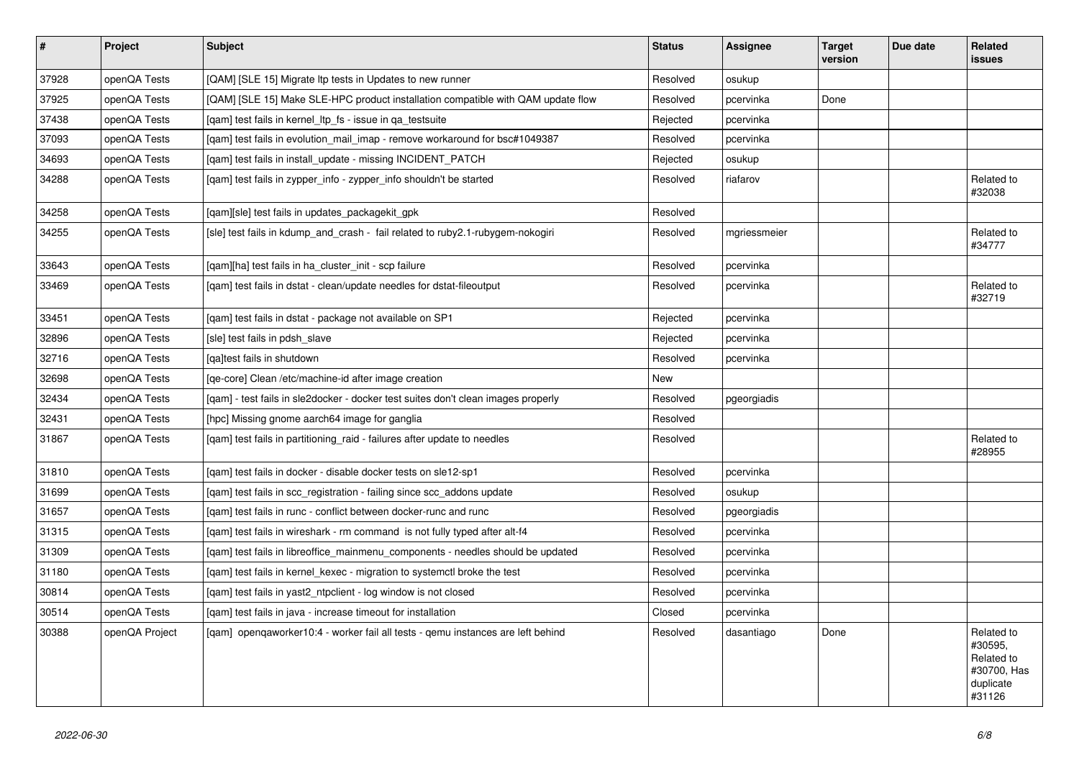| $\vert$ # | <b>Project</b> | <b>Subject</b>                                                                    | <b>Status</b> | <b>Assignee</b> | <b>Target</b><br>version | Due date | Related<br>issues                                                         |
|-----------|----------------|-----------------------------------------------------------------------------------|---------------|-----------------|--------------------------|----------|---------------------------------------------------------------------------|
| 37928     | openQA Tests   | [QAM] [SLE 15] Migrate Itp tests in Updates to new runner                         | Resolved      | osukup          |                          |          |                                                                           |
| 37925     | openQA Tests   | [QAM] [SLE 15] Make SLE-HPC product installation compatible with QAM update flow  | Resolved      | pcervinka       | Done                     |          |                                                                           |
| 37438     | openQA Tests   | [gam] test fails in kernel_ltp_fs - issue in ga_testsuite                         | Rejected      | pcervinka       |                          |          |                                                                           |
| 37093     | openQA Tests   | [gam] test fails in evolution mail imap - remove workaround for bsc#1049387       | Resolved      | pcervinka       |                          |          |                                                                           |
| 34693     | openQA Tests   | [gam] test fails in install update - missing INCIDENT PATCH                       | Rejected      | osukup          |                          |          |                                                                           |
| 34288     | openQA Tests   | [gam] test fails in zypper info - zypper info shouldn't be started                | Resolved      | riafarov        |                          |          | Related to<br>#32038                                                      |
| 34258     | openQA Tests   | [qam][sle] test fails in updates_packagekit_gpk                                   | Resolved      |                 |                          |          |                                                                           |
| 34255     | openQA Tests   | [sle] test fails in kdump_and_crash - fail related to ruby2.1-rubygem-nokogiri    | Resolved      | mgriessmeier    |                          |          | Related to<br>#34777                                                      |
| 33643     | openQA Tests   | [gam][ha] test fails in ha cluster init - scp failure                             | Resolved      | pcervinka       |                          |          |                                                                           |
| 33469     | openQA Tests   | [gam] test fails in dstat - clean/update needles for dstat-fileoutput             | Resolved      | pcervinka       |                          |          | Related to<br>#32719                                                      |
| 33451     | openQA Tests   | [qam] test fails in dstat - package not available on SP1                          | Rejected      | pcervinka       |                          |          |                                                                           |
| 32896     | openQA Tests   | [sle] test fails in pdsh slave                                                    | Rejected      | pcervinka       |                          |          |                                                                           |
| 32716     | openQA Tests   | [ga]test fails in shutdown                                                        | Resolved      | pcervinka       |                          |          |                                                                           |
| 32698     | openQA Tests   | [ge-core] Clean /etc/machine-id after image creation                              | New           |                 |                          |          |                                                                           |
| 32434     | openQA Tests   | [gam] - test fails in sle2docker - docker test suites don't clean images properly | Resolved      | pgeorgiadis     |                          |          |                                                                           |
| 32431     | openQA Tests   | [hpc] Missing gnome aarch64 image for ganglia                                     | Resolved      |                 |                          |          |                                                                           |
| 31867     | openQA Tests   | [qam] test fails in partitioning_raid - failures after update to needles          | Resolved      |                 |                          |          | Related to<br>#28955                                                      |
| 31810     | openQA Tests   | [qam] test fails in docker - disable docker tests on sle12-sp1                    | Resolved      | pcervinka       |                          |          |                                                                           |
| 31699     | openQA Tests   | [gam] test fails in scc registration - failing since scc addons update            | Resolved      | osukup          |                          |          |                                                                           |
| 31657     | openQA Tests   | [gam] test fails in runc - conflict between docker-runc and runc                  | Resolved      | pgeorgiadis     |                          |          |                                                                           |
| 31315     | openQA Tests   | [qam] test fails in wireshark - rm command is not fully typed after alt-f4        | Resolved      | pcervinka       |                          |          |                                                                           |
| 31309     | openQA Tests   | [qam] test fails in libreoffice_mainmenu_components - needles should be updated   | Resolved      | pcervinka       |                          |          |                                                                           |
| 31180     | openQA Tests   | [gam] test fails in kernel kexec - migration to systemctl broke the test          | Resolved      | pcervinka       |                          |          |                                                                           |
| 30814     | openQA Tests   | [gam] test fails in yast2 ntpclient - log window is not closed                    | Resolved      | pcervinka       |                          |          |                                                                           |
| 30514     | openQA Tests   | [gam] test fails in java - increase timeout for installation                      | Closed        | pcervinka       |                          |          |                                                                           |
| 30388     | openQA Project | [gam] opengaworker10:4 - worker fail all tests - gemu instances are left behind   | Resolved      | dasantiago      | Done                     |          | Related to<br>#30595,<br>Related to<br>#30700, Has<br>duplicate<br>#31126 |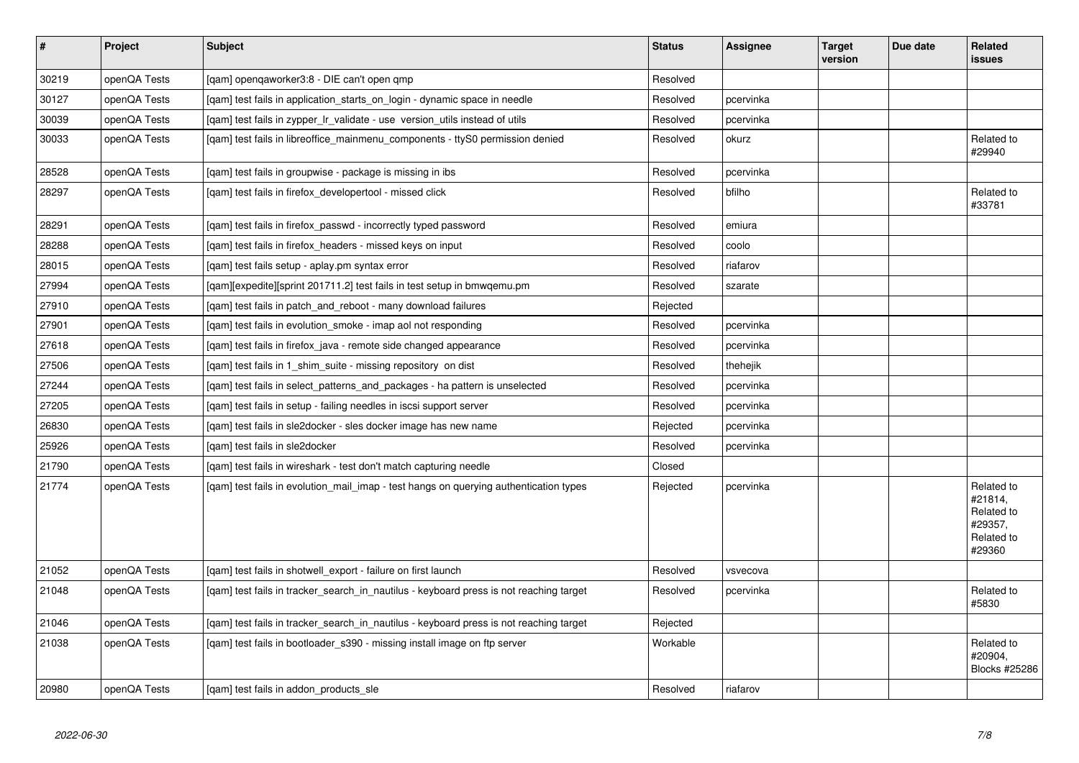| $\vert$ # | Project      | <b>Subject</b>                                                                         | <b>Status</b> | Assignee  | <b>Target</b><br>version | Due date | Related<br><b>issues</b>                                               |
|-----------|--------------|----------------------------------------------------------------------------------------|---------------|-----------|--------------------------|----------|------------------------------------------------------------------------|
| 30219     | openQA Tests | [qam] openqaworker3:8 - DIE can't open qmp                                             | Resolved      |           |                          |          |                                                                        |
| 30127     | openQA Tests | [gam] test fails in application starts on login - dynamic space in needle              | Resolved      | pcervinka |                          |          |                                                                        |
| 30039     | openQA Tests | [gam] test fails in zypper Ir validate - use version utils instead of utils            | Resolved      | pcervinka |                          |          |                                                                        |
| 30033     | openQA Tests | [gam] test fails in libreoffice mainmenu components - ttyS0 permission denied          | Resolved      | okurz     |                          |          | Related to<br>#29940                                                   |
| 28528     | openQA Tests | [gam] test fails in groupwise - package is missing in ibs                              | Resolved      | pcervinka |                          |          |                                                                        |
| 28297     | openQA Tests | [qam] test fails in firefox_developertool - missed click                               | Resolved      | bfilho    |                          |          | Related to<br>#33781                                                   |
| 28291     | openQA Tests | [qam] test fails in firefox_passwd - incorrectly typed password                        | Resolved      | emiura    |                          |          |                                                                        |
| 28288     | openQA Tests | [gam] test fails in firefox headers - missed keys on input                             | Resolved      | coolo     |                          |          |                                                                        |
| 28015     | openQA Tests | [qam] test fails setup - aplay.pm syntax error                                         | Resolved      | riafarov  |                          |          |                                                                        |
| 27994     | openQA Tests | [gam][expedite][sprint 201711.2] test fails in test setup in bmwgemu.pm                | Resolved      | szarate   |                          |          |                                                                        |
| 27910     | openQA Tests | [qam] test fails in patch_and_reboot - many download failures                          | Rejected      |           |                          |          |                                                                        |
| 27901     | openQA Tests | [qam] test fails in evolution_smoke - imap aol not responding                          | Resolved      | pcervinka |                          |          |                                                                        |
| 27618     | openQA Tests | [gam] test fails in firefox java - remote side changed appearance                      | Resolved      | pcervinka |                          |          |                                                                        |
| 27506     | openQA Tests | [qam] test fails in 1_shim_suite - missing repository on dist                          | Resolved      | thehejik  |                          |          |                                                                        |
| 27244     | openQA Tests | [gam] test fails in select patterns and packages - ha pattern is unselected            | Resolved      | pcervinka |                          |          |                                                                        |
| 27205     | openQA Tests | [qam] test fails in setup - failing needles in iscsi support server                    | Resolved      | pcervinka |                          |          |                                                                        |
| 26830     | openQA Tests | [gam] test fails in sle2docker - sles docker image has new name                        | Rejected      | pcervinka |                          |          |                                                                        |
| 25926     | openQA Tests | [qam] test fails in sle2docker                                                         | Resolved      | pcervinka |                          |          |                                                                        |
| 21790     | openQA Tests | [gam] test fails in wireshark - test don't match capturing needle                      | Closed        |           |                          |          |                                                                        |
| 21774     | openQA Tests | [qam] test fails in evolution_mail_imap - test hangs on querying authentication types  | Rejected      | pcervinka |                          |          | Related to<br>#21814,<br>Related to<br>#29357,<br>Related to<br>#29360 |
| 21052     | openQA Tests | [gam] test fails in shotwell export - failure on first launch                          | Resolved      | vsvecova  |                          |          |                                                                        |
| 21048     | openQA Tests | [qam] test fails in tracker_search_in_nautilus - keyboard press is not reaching target | Resolved      | pcervinka |                          |          | Related to<br>#5830                                                    |
| 21046     | openQA Tests | [qam] test fails in tracker_search_in_nautilus - keyboard press is not reaching target | Rejected      |           |                          |          |                                                                        |
| 21038     | openQA Tests | [gam] test fails in bootloader s390 - missing install image on ftp server              | Workable      |           |                          |          | Related to<br>#20904,<br>Blocks #25286                                 |
| 20980     | openQA Tests | [gam] test fails in addon products sle                                                 | Resolved      | riafarov  |                          |          |                                                                        |